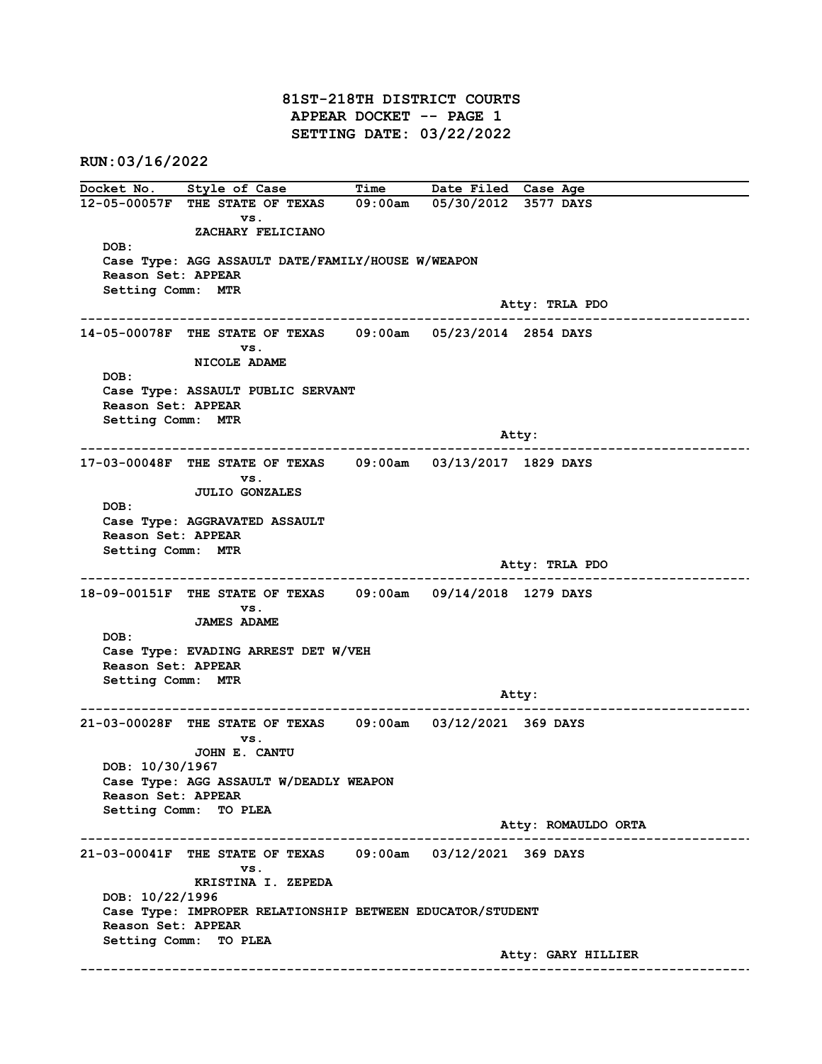## 81ST-218TH DISTRICT COURTS APPEAR DOCKET -- PAGE 1 SETTING DATE: 03/22/2022

RUN:03/16/2022

Docket No. Style of Case Time Date Filed Case Age 12-05-00057F THE STATE OF TEXAS 09:00am 05/30/2012 3577 DAYS vs. ZACHARY FELICIANO DOB: Case Type: AGG ASSAULT DATE/FAMILY/HOUSE W/WEAPON Reason Set: APPEAR Setting Comm: MTR Atty: TRLA PDO ------------------------------------------------------------------------------------------------------------------------ 14-05-00078F THE STATE OF TEXAS 09:00am 05/23/2014 2854 DAYS vs. NICOLE ADAME DOB: Case Type: ASSAULT PUBLIC SERVANT Reason Set: APPEAR Setting Comm: MTR Atty: ------------------------------------------------------------------------------------------------------------------------ 17-03-00048F THE STATE OF TEXAS 09:00am 03/13/2017 1829 DAYS vs. JULIO GONZALES DOB: Case Type: AGGRAVATED ASSAULT Reason Set: APPEAR Setting Comm: MTR Atty: TRLA PDO ------------------------------------------------------------------------------------------------------------------------ 18-09-00151F THE STATE OF TEXAS 09:00am 09/14/2018 1279 DAYS vs. JAMES ADAME DOB: Case Type: EVADING ARREST DET W/VEH Reason Set: APPEAR Setting Comm: MTR example of the state of the state of the state of the state of the state of the state of the state of the state of the state of the state of the state of the state of the state of the state of the state of the state of the ------------------------------------------------------------------------------------------------------------------------ 21-03-00028F THE STATE OF TEXAS vs. JOHN E. CANTU DOB: 10/30/1967 Case Type: AGG ASSAULT W/DEADLY WEAPON Reason Set: APPEAR Setting Comm: TO PLEA Atty: ROMAULDO ORTA ------------------------------------------------------------------------------------------------------------------------ 21-03-00041F THE STATE OF TEXAS 09:00am 03/12/2021 369 DAYS vs. KRISTINA I. ZEPEDA DOB: 10/22/1996 Case Type: IMPROPER RELATIONSHIP BETWEEN EDUCATOR/STUDENT Reason Set: APPEAR Setting Comm: TO PLEA Atty: GARY HILLIER ------------------------------------------------------------------------------------------------------------------------